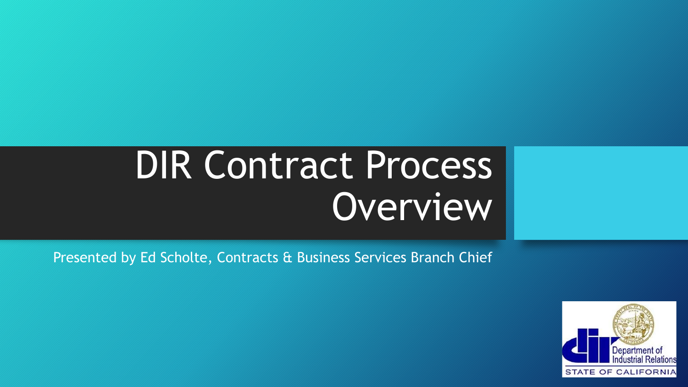# DIR Contract Process **Overview**

Presented by Ed Scholte, Contracts & Business Services Branch Chief

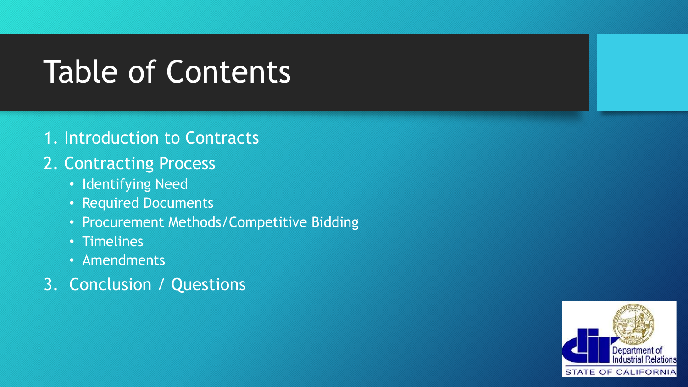## Table of Contents

#### 1. Introduction to Contracts

#### 2. Contracting Process

- Identifying Need
- Required Documents
- Procurement Methods/Competitive Bidding
- Timelines
- Amendments
- 3. Conclusion / Questions

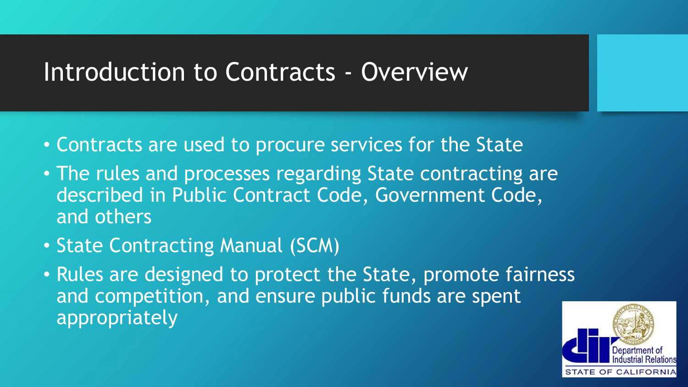#### Introduction to Contracts - Overview

- Contracts are used to procure services for the State
- The rules and processes regarding State contracting are described in Public Contract Code, Government Code, and others
- State Contracting Manual (SCM)
- Rules are designed to protect the State, promote fairness and competition, and ensure public funds are spent appropriately

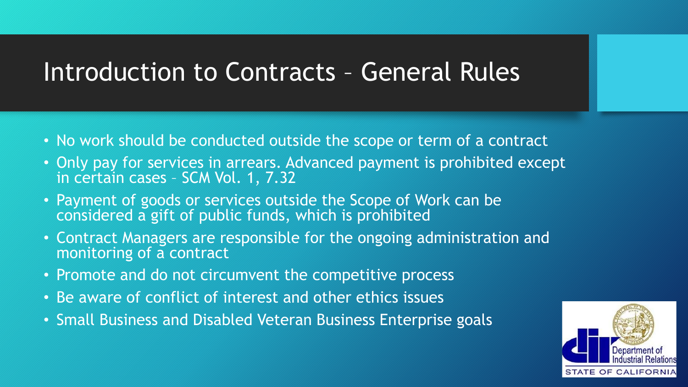#### Introduction to Contracts – General Rules

- No work should be conducted outside the scope or term of a contract
- Only pay for services in arrears. Advanced payment is prohibited except in certain cases – SCM Vol. 1, 7.32
- Payment of goods or services outside the Scope of Work can be considered a gift of public funds, which is prohibited
- Contract Managers are responsible for the ongoing administration and monitoring of a contract
- Promote and do not circumvent the competitive process
- Be aware of conflict of interest and other ethics issues
- Small Business and Disabled Veteran Business Enterprise goals

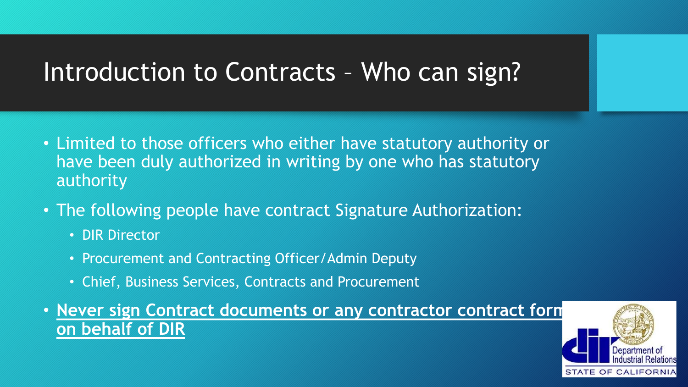#### Introduction to Contracts – Who can sign?

- Limited to those officers who either have statutory authority or have been duly authorized in writing by one who has statutory authority
- The following people have contract Signature Authorization:
	- DIR Director
	- Procurement and Contracting Officer/Admin Deputy
	- Chief, Business Services, Contracts and Procurement
- **Never sign Contract documents or any contractor contract forms on behalf of DIR**

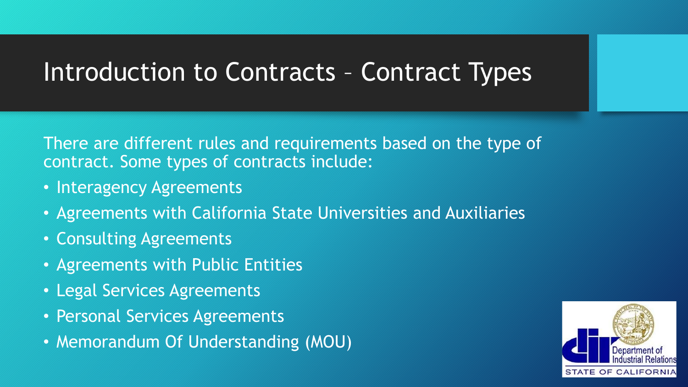#### Introduction to Contracts – Contract Types

There are different rules and requirements based on the type of contract. Some types of contracts include:

- Interagency Agreements
- Agreements with California State Universities and Auxiliaries
- Consulting Agreements
- Agreements with Public Entities
- Legal Services Agreements
- Personal Services Agreements
- Memorandum Of Understanding (MOU)

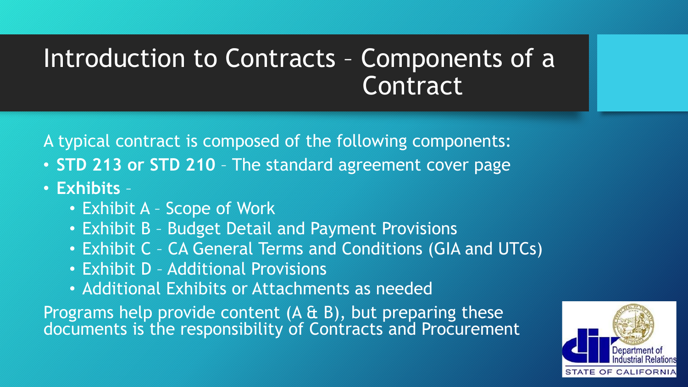### Introduction to Contracts – Components of a **Contract**

A typical contract is composed of the following components:

- **STD 213 or STD 210**  The standard agreement cover page
- **Exhibits**
	- Exhibit A Scope of Work
	- Exhibit B Budget Detail and Payment Provisions
	- Exhibit C CA General Terms and Conditions (GIA and UTCs)
	- Exhibit D Additional Provisions
	- Additional Exhibits or Attachments as needed

Programs help provide content (A & B), but preparing these documents is the responsibility of Contracts and Procurement

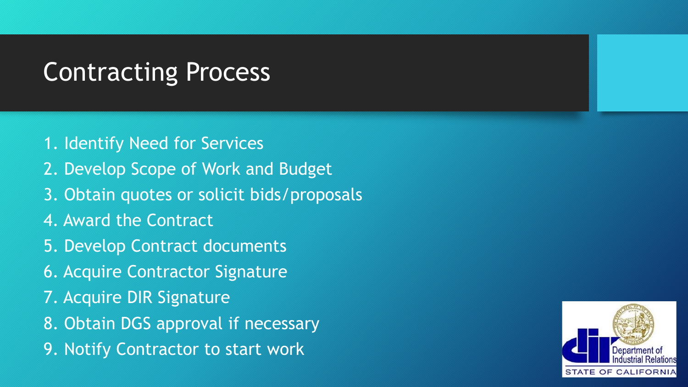#### Contracting Process

- 1. Identify Need for Services
- 2. Develop Scope of Work and Budget
- 3. Obtain quotes or solicit bids/proposals
- 4. Award the Contract
- 5. Develop Contract documents
- 6. Acquire Contractor Signature
- 7. Acquire DIR Signature
- 8. Obtain DGS approval if necessary
- 9. Notify Contractor to start work

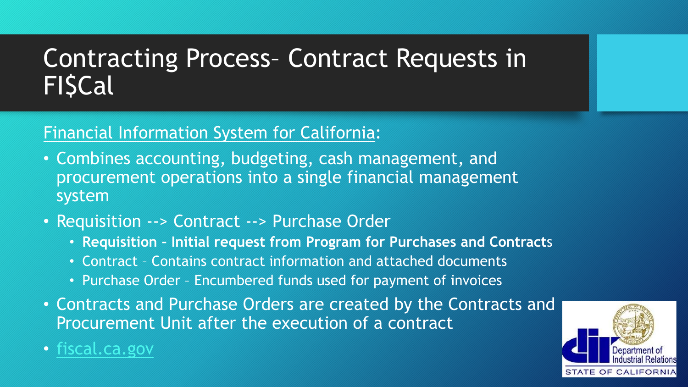### Contracting Process– Contract Requests in **FISCal**

#### Financial Information System for California:

- Combines accounting, budgeting, cash management, and procurement operations into a single financial management system
- Requisition --> Contract --> Purchase Order
	- **Requisition – Initial request from Program for Purchases and Contract**s
	- Contract Contains contract information and attached documents
	- Purchase Order Encumbered funds used for payment of invoices
- Contracts and Purchase Orders are created by the Contracts and Procurement Unit after the execution of a contract
- [fiscal.ca.gov](https://fiscal.ca.gov/)

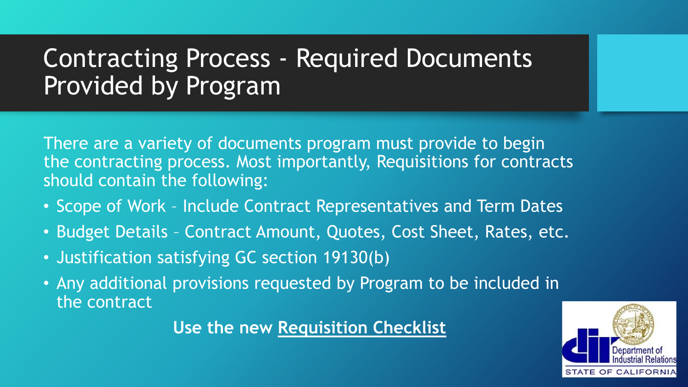### Contracting Process - Required Documents Provided by Program

There are a variety of documents program must provide to begin the contracting process. Most importantly, Requisitions for contracts should contain the following:

- Scope of Work Include Contract Representatives and Term Dates
- Budget Details Contract Amount, Quotes, Cost Sheet, Rates, etc.
- Justification satisfying GC section 19130(b)
- Any additional provisions requested by Program to be included in the contract

**Use the new Requisition Checklist**

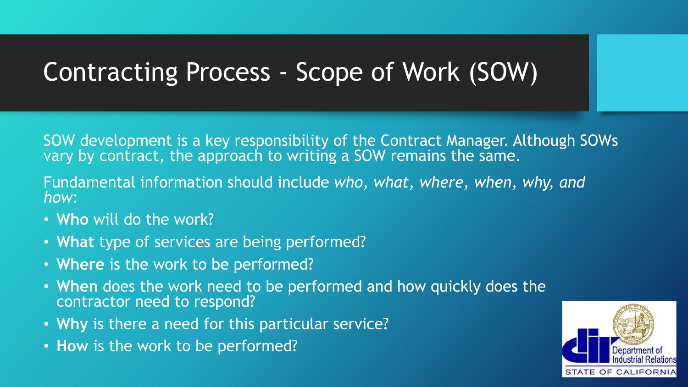### Contracting Process - Scope of Work (SOW)

SOW development is a key responsibility of the Contract Manager. Although SOWs vary by contract, the approach to writing a SOW remains the same.

Fundamental information should include *who, what, where, when, why, and how*:

- **Who** will do the work?
- **What** type of services are being performed?
- **Where** is the work to be performed?
- **When** does the work need to be performed and how quickly does the contractor need to respond?
- **Why** is there a need for this particular service?
- **How** is the work to be performed?

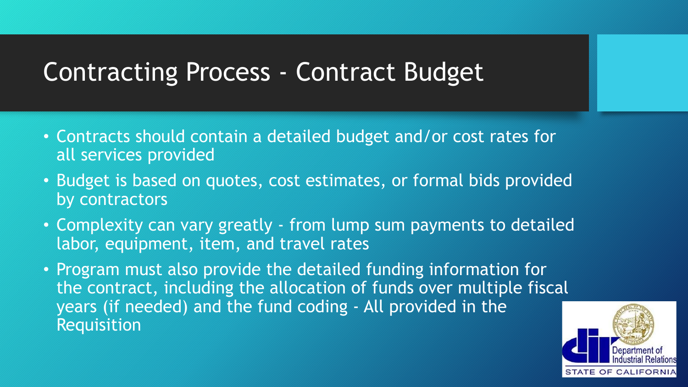#### Contracting Process - Contract Budget

- Contracts should contain a detailed budget and/or cost rates for all services provided
- Budget is based on quotes, cost estimates, or formal bids provided by contractors
- Complexity can vary greatly from lump sum payments to detailed labor, equipment, item, and travel rates
- Program must also provide the detailed funding information for the contract, including the allocation of funds over multiple fiscal years (if needed) and the fund coding - All provided in the Requisition

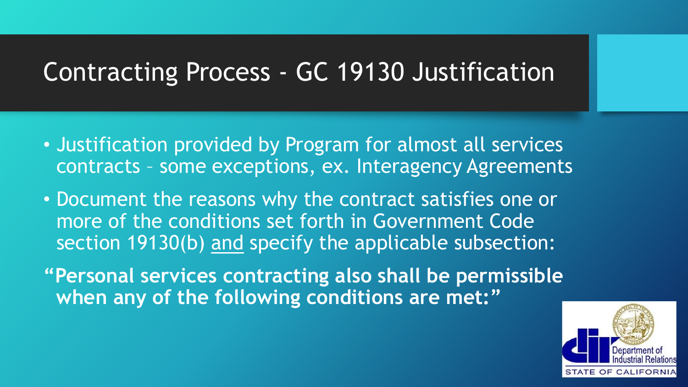### Contracting Process - GC 19130 Justification

- Justification provided by Program for almost all services contracts – some exceptions, ex. Interagency Agreements
- Document the reasons why the contract satisfies one or more of the conditions set forth in Government Code section 19130(b) and specify the applicable subsection:
- **"Personal services contracting also shall be permissible when any of the following conditions are met:"**

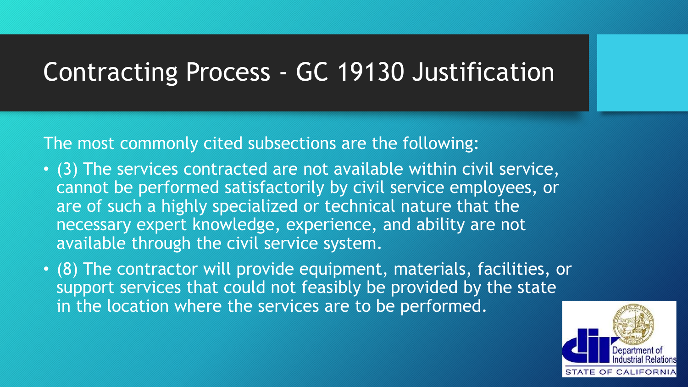#### Contracting Process - GC 19130 Justification

The most commonly cited subsections are the following:

- (3) The services contracted are not available within civil service, cannot be performed satisfactorily by civil service employees, or are of such a highly specialized or technical nature that the necessary expert knowledge, experience, and ability are not available through the civil service system.
- (8) The contractor will provide equipment, materials, facilities, or support services that could not feasibly be provided by the state in the location where the services are to be performed.

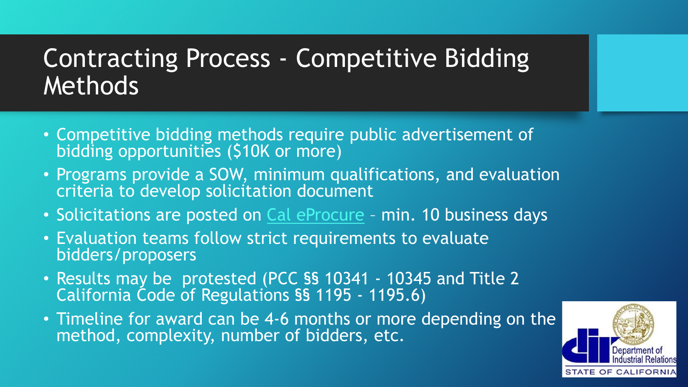### Contracting Process - Competitive Bidding Methods

- Competitive bidding methods require public advertisement of bidding opportunities (\$10K or more)
- Programs provide a SOW, minimum qualifications, and evaluation criteria to develop solicitation document
- Solicitations are posted on [Cal eProcure](https://caleprocure.ca.gov/pages/index.aspx) min. 10 business days
- Evaluation teams follow strict requirements to evaluate bidders/proposers
- Results may be protested (PCC §§ 10341 10345 and Title 2 California Code of Regulations §§ 1195 - 1195.6)
- Timeline for award can be 4-6 months or more depending on the method, complexity, number of bidders, etc.

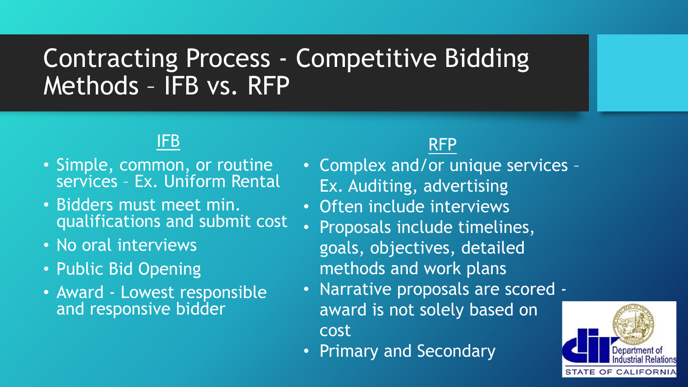### Contracting Process - Competitive Bidding Methods – IFB vs. RFP

#### IFB

- Simple, common, or routine services - Ex. Uniform Rental
- Bidders must meet min. qualifications and submit cost
- No oral interviews
- Public Bid Opening
- Award Lowest responsible and responsive bidder

#### RFP

- Complex and/or unique services Ex. Auditing, advertising
- Often include interviews
- Proposals include timelines, goals, objectives, detailed methods and work plans
- Narrative proposals are scored award is not solely based on cost
- Primary and Secondary

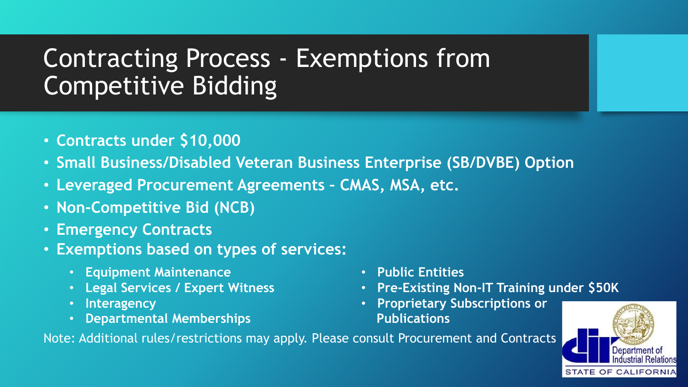### Contracting Process - Exemptions from Competitive Bidding

- **Contracts under \$10,000**
- **Small Business/Disabled Veteran Business Enterprise (SB/DVBE) Option**
- **Leveraged Procurement Agreements – CMAS, MSA, etc.**
- **Non-Competitive Bid (NCB)**
- **Emergency Contracts**
- **Exemptions based on types of services:**
	- **Equipment Maintenance**
	- **Legal Services / Expert Witness**
	- **Interagency**
	- **Departmental Memberships**
- **Public Entities**
- **Pre-Existing Non-IT Training under \$50K**
- **Proprietary Subscriptions or Publications**



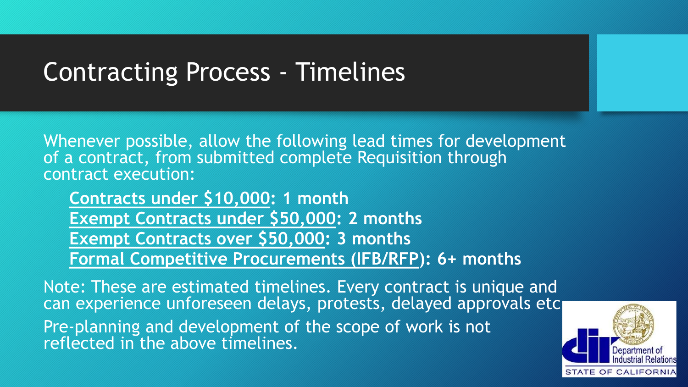#### Contracting Process - Timelines

Whenever possible, allow the following lead times for development of a contract, from submitted complete Requisition through contract execution:

**Contracts under \$10,000: 1 month Exempt Contracts under \$50,000: 2 months Exempt Contracts over \$50,000: 3 months Formal Competitive Procurements (IFB/RFP): 6+ months**

Note: These are estimated timelines. Every contract is unique and can experience unforeseen delays, protests, delayed approvals etc. Pre-planning and development of the scope of work is not reflected in the above timelines.

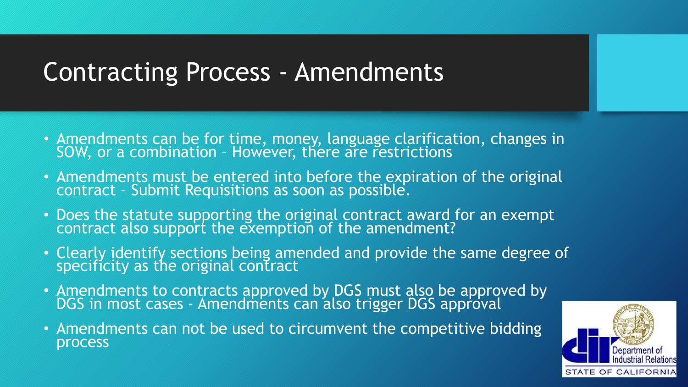#### Contracting Process - Amendments

- Amendments can be for time, money, language clarification, changes in SOW, or a combination – However, there are restrictions
- Amendments must be entered into before the expiration of the original contract – Submit Requisitions as soon as possible.
- Does the statute supporting the original contract award for an exempt contract also support the exemption of the amendment?
- Clearly identify sections being amended and provide the same degree of specificity as the original contract
- Amendments to contracts approved by DGS must also be approved by DGS in most cases - Amendments can also trigger DGS approval
- Amendments can not be used to circumvent the competitive bidding process

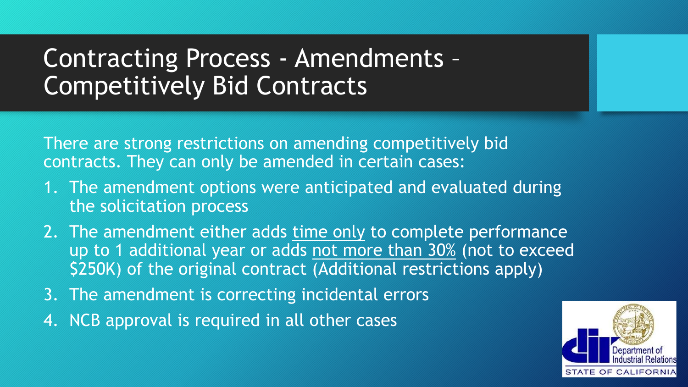### Contracting Process - Amendments – Competitively Bid Contracts

There are strong restrictions on amending competitively bid contracts. They can only be amended in certain cases:

- 1. The amendment options were anticipated and evaluated during the solicitation process
- 2. The amendment either adds time only to complete performance up to 1 additional year or adds not more than 30% (not to exceed \$250K) of the original contract (Additional restrictions apply)
- 3. The amendment is correcting incidental errors
- 4. NCB approval is required in all other cases

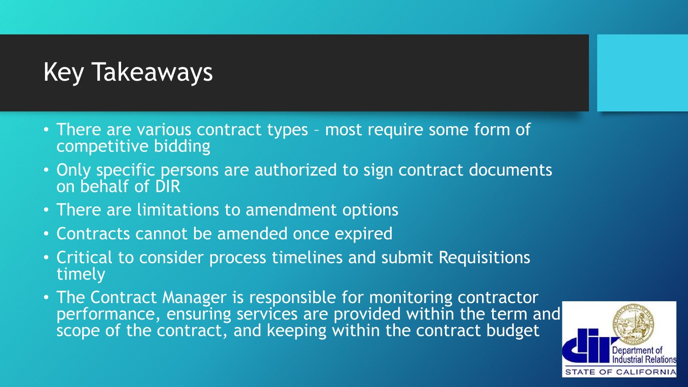### Key Takeaways

- There are various contract types most require some form of competitive bidding
- Only specific persons are authorized to sign contract documents on behalf of DIR
- There are limitations to amendment options
- Contracts cannot be amended once expired
- Critical to consider process timelines and submit Requisitions timely
- The Contract Manager is responsible for monitoring contractor performance, ensuring services are provided within the term and scope of the contract, and keeping within the contract budget